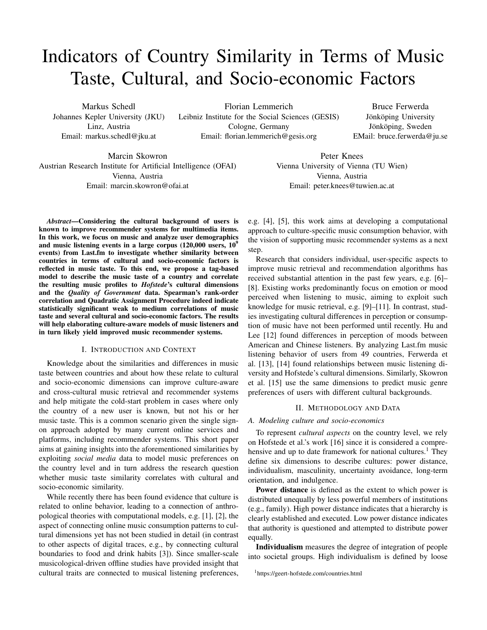# Indicators of Country Similarity in Terms of Music Taste, Cultural, and Socio-economic Factors

Markus Schedl Johannes Kepler University (JKU) Linz, Austria Email: markus.schedl@jku.at

Florian Lemmerich Leibniz Institute for the Social Sciences (GESIS) Cologne, Germany Email: florian.lemmerich@gesis.org

Bruce Ferwerda Jönköping University Jönköping, Sweden EMail: bruce.ferwerda@ju.se

Marcin Skowron Austrian Research Institute for Artificial Intelligence (OFAI) Vienna, Austria Email: marcin.skowron@ofai.at

Peter Knees Vienna University of Vienna (TU Wien) Vienna, Austria Email: peter.knees@tuwien.ac.at

*Abstract*—Considering the cultural background of users is known to improve recommender systems for multimedia items. In this work, we focus on music and analyze user demographics and music listening events in a large corpus  $(120,000$  users,  $10<sup>9</sup>$ events) from Last.fm to investigate whether similarity between countries in terms of cultural and socio-economic factors is reflected in music taste. To this end, we propose a tag-based model to describe the music taste of a country and correlate the resulting music profiles to *Hofstede*'s cultural dimensions and the *Quality of Government* data. Spearman's rank-order correlation and Quadratic Assignment Procedure indeed indicate statistically significant weak to medium correlations of music taste and several cultural and socio-economic factors. The results will help elaborating culture-aware models of music listeners and in turn likely yield improved music recommender systems.

# I. INTRODUCTION AND CONTEXT

Knowledge about the similarities and differences in music taste between countries and about how these relate to cultural and socio-economic dimensions can improve culture-aware and cross-cultural music retrieval and recommender systems and help mitigate the cold-start problem in cases where only the country of a new user is known, but not his or her music taste. This is a common scenario given the single signon approach adopted by many current online services and platforms, including recommender systems. This short paper aims at gaining insights into the aforementioned similarities by exploiting *social media* data to model music preferences on the country level and in turn address the research question whether music taste similarity correlates with cultural and socio-economic similarity.

While recently there has been found evidence that culture is related to online behavior, leading to a connection of anthropological theories with computational models, e.g. [1], [2], the aspect of connecting online music consumption patterns to cultural dimensions yet has not been studied in detail (in contrast to other aspects of digital traces, e.g., by connecting cultural boundaries to food and drink habits [3]). Since smaller-scale musicological-driven offline studies have provided insight that cultural traits are connected to musical listening preferences, e.g. [4], [5], this work aims at developing a computational approach to culture-specific music consumption behavior, with the vision of supporting music recommender systems as a next step.

Research that considers individual, user-specific aspects to improve music retrieval and recommendation algorithms has received substantial attention in the past few years, e.g. [6]– [8]. Existing works predominantly focus on emotion or mood perceived when listening to music, aiming to exploit such knowledge for music retrieval, e.g. [9]–[11]. In contrast, studies investigating cultural differences in perception or consumption of music have not been performed until recently. Hu and Lee [12] found differences in perception of moods between American and Chinese listeners. By analyzing Last.fm music listening behavior of users from 49 countries, Ferwerda et al. [13], [14] found relationships between music listening diversity and Hofstede's cultural dimensions. Similarly, Skowron et al. [15] use the same dimensions to predict music genre preferences of users with different cultural backgrounds.

## II. METHODOLOGY AND DATA

## *A. Modeling culture and socio-economics*

To represent *cultural aspects* on the country level, we rely on Hofstede et al.'s work [16] since it is considered a comprehensive and up to date framework for national cultures.<sup>1</sup> They define six dimensions to describe cultures: power distance, individualism, masculinity, uncertainty avoidance, long-term orientation, and indulgence.

Power distance is defined as the extent to which power is distributed unequally by less powerful members of institutions (e.g., family). High power distance indicates that a hierarchy is clearly established and executed. Low power distance indicates that authority is questioned and attempted to distribute power equally.

Individualism measures the degree of integration of people into societal groups. High individualism is defined by loose

<sup>1</sup>https://geert-hofstede.com/countries.html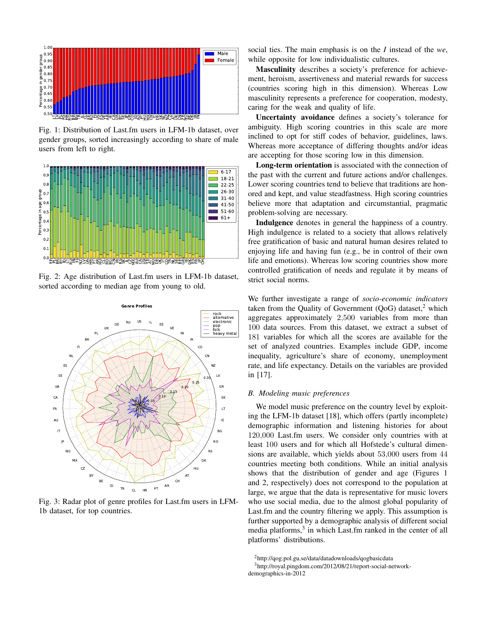

Fig. 1: Distribution of Last.fm users in LFM-1b dataset, over gender groups, sorted increasingly according to share of male users from left to right.



Fig. 2: Age distribution of Last.fm users in LFM-1b dataset, sorted according to median age from young to old.



Fig. 3: Radar plot of genre profiles for Last.fm users in LFM-1b dataset, for top countries.

social ties. The main emphasis is on the *I* instead of the *we*, while opposite for low individualistic cultures.

Masculinity describes a society's preference for achievement, heroism, assertiveness and material rewards for success (countries scoring high in this dimension). Whereas Low masculinity represents a preference for cooperation, modesty, caring for the weak and quality of life.

Uncertainty avoidance defines a society's tolerance for ambiguity. High scoring countries in this scale are more inclined to opt for stiff codes of behavior, guidelines, laws. Whereas more acceptance of differing thoughts and/or ideas are accepting for those scoring low in this dimension.

Long-term orientation is associated with the connection of the past with the current and future actions and/or challenges. Lower scoring countries tend to believe that traditions are honored and kept, and value steadfastness. High scoring countries believe more that adaptation and circumstantial, pragmatic problem-solving are necessary.

Indulgence denotes in general the happiness of a country. High indulgence is related to a society that allows relatively free gratification of basic and natural human desires related to enjoying life and having fun (e.g., be in control of their own life and emotions). Whereas low scoring countries show more controlled gratification of needs and regulate it by means of strict social norms.

We further investigate a range of *socio-economic indicators* taken from the Quality of Government  $(QoG)$  dataset,<sup>2</sup> which aggregates approximately 2,500 variables from more than 100 data sources. From this dataset, we extract a subset of 181 variables for which all the scores are available for the set of analyzed countries. Examples include GDP, income inequality, agriculture's share of economy, unemployment rate, and life expectancy. Details on the variables are provided in [17].

# *B. Modeling music preferences*

We model music preference on the country level by exploiting the LFM-1b dataset [18], which offers (partly incomplete) demographic information and listening histories for about 120,000 Last.fm users. We consider only countries with at least 100 users and for which all Hofstede's cultural dimensions are available, which yields about 53,000 users from 44 countries meeting both conditions. While an initial analysis shows that the distribution of gender and age (Figures 1 and 2, respectively) does not correspond to the population at large, we argue that the data is representative for music lovers who use social media, due to the almost global popularity of Last.fm and the country filtering we apply. This assumption is further supported by a demographic analysis of different social media platforms,<sup>3</sup> in which Last.fm ranked in the center of all platforms' distributions.

<sup>2</sup>http://qog.pol.gu.se/data/datadownloads/qogbasicdata

<sup>3</sup>http://royal.pingdom.com/2012/08/21/report-social-networkdemographics-in-2012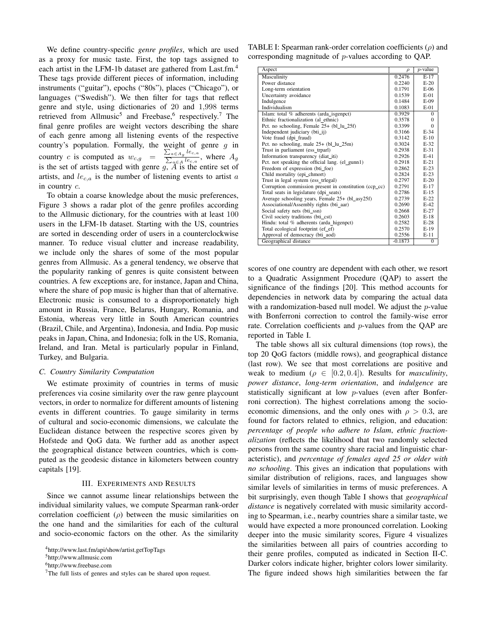We define country-specific *genre profiles*, which are used as a proxy for music taste. First, the top tags assigned to each artist in the LFM-1b dataset are gathered from Last.fm.<sup>4</sup> These tags provide different pieces of information, including instruments ("guitar"), epochs ("80s"), places ("Chicago"), or languages ("Swedish"). We then filter for tags that reflect genre and style, using dictionaries of 20 and 1,998 terms retrieved from Allmusic<sup>5</sup> and Freebase,<sup>6</sup> respectively.<sup>7</sup> The final genre profiles are weight vectors describing the share of each genre among all listening events of the respective country's population. Formally, the weight of genre  $q$  in country c is computed as  $w_{c,g} = \frac{\sum_{a \in A_g} le_{c,a}}{\sum_{b \in A_g} le_{c,a}}$  $\frac{\sum_{a \in A} a \in c, a}{\sum_{a \in A} le_{c,a}}$ , where  $A_g$ is the set of artists tagged with genre  $g, A$  is the entire set of artists, and  $le_{c,a}$  is the number of listening events to artist a in country c.

To obtain a coarse knowledge about the music preferences, Figure 3 shows a radar plot of the genre profiles according to the Allmusic dictionary, for the countries with at least 100 users in the LFM-1b dataset. Starting with the US, countries are sorted in descending order of users in a counterclockwise manner. To reduce visual clutter and increase readability, we include only the shares of some of the most popular genres from Allmusic. As a general tendency, we observe that the popularity ranking of genres is quite consistent between countries. A few exceptions are, for instance, Japan and China, where the share of pop music is higher than that of alternative. Electronic music is consumed to a disproportionately high amount in Russia, France, Belarus, Hungary, Romania, and Estonia, whereas very little in South American countries (Brazil, Chile, and Argentina), Indonesia, and India. Pop music peaks in Japan, China, and Indonesia; folk in the US, Romania, Ireland, and Iran. Metal is particularly popular in Finland, Turkey, and Bulgaria.

## *C. Country Similarity Computation*

We estimate proximity of countries in terms of music preferences via cosine similarity over the raw genre playcount vectors, in order to normalize for different amounts of listening events in different countries. To gauge similarity in terms of cultural and socio-economic dimensions, we calculate the Euclidean distance between the respective scores given by Hofstede and QoG data. We further add as another aspect the geographical distance between countries, which is computed as the geodesic distance in kilometers between country capitals [19].

#### III. EXPERIMENTS AND RESULTS

Since we cannot assume linear relationships between the individual similarity values, we compute Spearman rank-order correlation coefficient  $(\rho)$  between the music similarities on the one hand and the similarities for each of the cultural and socio-economic factors on the other. As the similarity

<sup>6</sup>http://www.freebase.com

TABLE I: Spearman rank-order correlation coefficients  $(\rho)$  and corresponding magnitude of p-values according to QAP.

| Aspect                                                 | $\rho$    | $p$ -value   |
|--------------------------------------------------------|-----------|--------------|
| Masculinity                                            | 0.2476    | $E-17$       |
| Power distance                                         | 0.2240    | $E-20$       |
| Long-term orientation                                  | 0.1791    | $E-06$       |
| Uncertainty avoidance                                  | 0.1539    | $E-01$       |
| Indulgence                                             | 0.1484    | $E-09$       |
| Individualism                                          | 0.1083    | $E-01$       |
| Islam: total % adherents (arda isgenpct)               | 0.3929    | $\Omega$     |
| Ethnic fractionalization (al ethnic)                   | 0.3578    | $\theta$     |
| Pct. no schooling, Female 25+ (bl_lu_25f)              | 0.3399    | $\Omega$     |
| Independent judiciary (bti_ij)                         | 0.3166    | $E-34$       |
| Vote fraud (dpi_fraud)                                 | 0.3142    | $E-10$       |
| Pct. no schooling, male $25+$ (bl_lu_25m)              | 0.3024    | $E-32$       |
| Trust in parliament (ess_trparl)                       | 0.2938    | $E-31$       |
| Information transparency (diat_iti)                    | 0.2926    | $E-41$       |
| Pct. not speaking the official lang. (el_gunn1)        | 0.2918    | $E-21$       |
| Freedom of expression (bti_foe)                        | 0.2862    | $E-23$       |
| Child mortality (epi_chmort)                           | 0.2824    | $E-23$       |
| Trust in legal system (ess_trlegal)                    | 0.2797    | $E-20$       |
| Corruption commission present in constitution (ccp_cc) | 0.2791    | $E-17$       |
| Total seats in legislature (dpi_seats)                 | 0.2786    | $E-15$       |
| Average schooling years, Female 25+ (bl_asy25f)        | 0.2739    | $E-22$       |
| Associational/Assembly rights (bti_aar)                | 0.2690    | $E-42$       |
| Social safety nets (bti_ssn)                           | 0.2668    | $E-27$       |
| Civil society traditions (bti_cst)                     | 0.2603    | $E-18$       |
| Hindu: total % adherents (arda_higenpct)               | 0.2582    | $E-28$       |
| Total ecological footprint (ef_ef)                     | 0.2570    | $E-19$       |
| Approval of democracy (bti_aod)                        | 0.2556    | $E-11$       |
| Geographical distance                                  | $-0.1873$ | $\mathbf{0}$ |

scores of one country are dependent with each other, we resort to a Quadratic Assignment Procedure (QAP) to assert the significance of the findings [20]. This method accounts for dependencies in network data by comparing the actual data with a randomization-based null model. We adjust the  $p$ -value with Bonferroni correction to control the family-wise error rate. Correlation coefficients and p-values from the QAP are reported in Table I.

The table shows all six cultural dimensions (top rows), the top 20 QoG factors (middle rows), and geographical distance (last row). We see that most correlations are positive and weak to medium ( $\rho \in [0.2, 0.4]$ ). Results for *masculinity*, *power distance*, *long-term orientation*, and *indulgence* are statistically significant at low p-values (even after Bonferroni correction). The highest correlations among the socioeconomic dimensions, and the only ones with  $\rho > 0.3$ , are found for factors related to ethnics, religion, and education: *percentage of people who adhere to Islam*, *ethnic fractionalization* (reflects the likelihood that two randomly selected persons from the same country share racial and linguistic characteristic), and *percentage of females aged 25 or older with no schooling*. This gives an indication that populations with similar distribution of religions, races, and languages show similar levels of similarities in terms of music preferences. A bit surprisingly, even though Table I shows that *geographical distance* is negatively correlated with music similarity according to Spearman, i.e., nearby countries share a similar taste, we would have expected a more pronounced correlation. Looking deeper into the music similarity scores, Figure 4 visualizes the similarities between all pairs of countries according to their genre profiles, computed as indicated in Section II-C. Darker colors indicate higher, brighter colors lower similarity. The figure indeed shows high similarities between the far

<sup>4</sup>http://www.last.fm/api/show/artist.getTopTags

<sup>5</sup>http://www.allmusic.com

<sup>&</sup>lt;sup>7</sup>The full lists of genres and styles can be shared upon request.